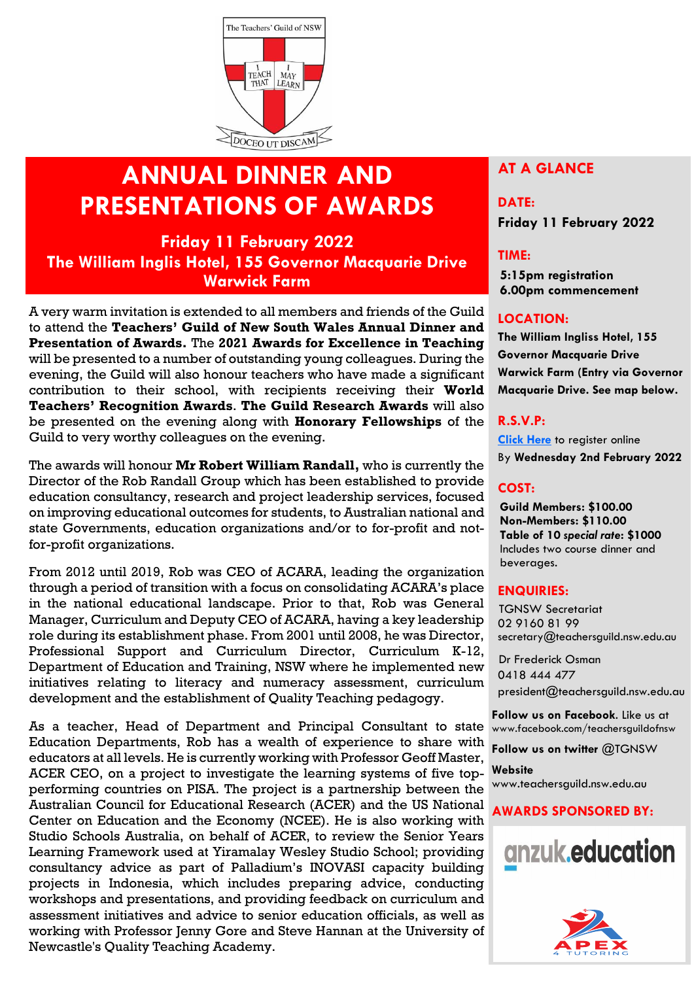

# **ANNUAL DINNER AND PRESENTATIONS OF AWARDS**

**Friday 11 February 2022 The William Inglis Hotel, 155 Governor Macquarie Drive Warwick Farm**

A very warm invitation is extended to all members and friends of the Guild to attend the **Teachers' Guild of New South Wales Annual Dinner and Presentation of Awards.** The **2021 Awards for Excellence in Teaching** will be presented to a number of outstanding young colleagues. During the evening, the Guild will also honour teachers who have made a significant contribution to their school, with recipients receiving their **World Teachers' Recognition Awards**. **The Guild Research Awards** will also be presented on the evening along with **Honorary Fellowships** of the Guild to very worthy colleagues on the evening.

The awards will honour **Mr Robert William Randall,** who is currently the Director of the Rob Randall Group which has been established to provide education consultancy, research and project leadership services, focused on improving educational outcomes for students, to Australian national and state Governments, education organizations and/or to for-profit and notfor-profit organizations.

From 2012 until 2019, Rob was CEO of ACARA, leading the organization through a period of transition with a focus on consolidating ACARA's place in the national educational landscape. Prior to that, Rob was General Manager, Curriculum and Deputy CEO of ACARA, having a key leadership role during its establishment phase. From 2001 until 2008, he was Director, Professional Support and Curriculum Director, Curriculum K-12, Department of Education and Training, NSW where he implemented new initiatives relating to literacy and numeracy assessment, curriculum development and the establishment of Quality Teaching pedagogy.

As a teacher, Head of Department and Principal Consultant to state Education Departments, Rob has a wealth of experience to share with educators at all levels. He is currently working with Professor Geoff Master, ACER CEO, on a project to investigate the learning systems of five topperforming countries on PISA. The project is a partnership between the Australian Council for Educational Research (ACER) and the US National Center on Education and the Economy (NCEE). He is also working with Studio Schools Australia, on behalf of ACER, to review the Senior Years Learning Framework used at Yiramalay Wesley Studio School; providing consultancy advice as part of Palladium's INOVASI capacity building projects in Indonesia, which includes preparing advice, conducting workshops and presentations, and providing feedback on curriculum and assessment initiatives and advice to senior education officials, as well as working with Professor Jenny Gore and Steve Hannan at the University of Newcastle's Quality Teaching Academy.

## **AT A GLANCE**

#### **DATE:**

**Friday 11 February 2022**

## **TIME:**

**5:15pm registration 6.00pm commencement**

#### **LOCATION:**

**The William Ingliss Hotel, 155 Governor Macquarie Drive Warwick Farm (Entry via Governor Macquarie Drive. See map below.**

#### **R.S.V.P:**

**[Click Here](https://tas.currinda.com/register/event/2182)** to register online By **Wednesday 2nd February 2022**

## **COST:**

**Guild Members: \$100.00 Non-Members: \$110.00 Table of 10** *special rate***: \$1000** Includes two course dinner and beverages.

#### **ENQUIRIES:**

 TGNSW Secretariat 02 9160 81 99 secretary@teachersguild.nsw.edu.au

 Dr Frederick Osman 0418 444 477 president@teachersguild.nsw.edu.au

**Follow us on Facebook**. Like us at [www.facebook.com/teachersguildofnsw](http://www.facebook.com/teachersguildofnsw)

**Follow us on twitter** @TGNSW

**Website** [www.teachersguild.nsw.edu.au](http://www.teachersguild.nsw.edu.au/)

### **AWARDS SPONSORED BY:**